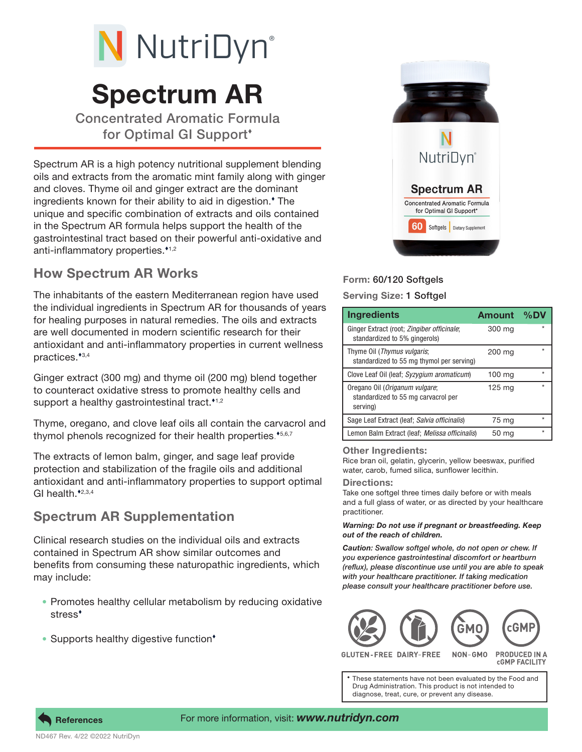# N NutriDyn®

# Spectrum AR

Concentrated Aromatic Formula for Optimal GI Support

Spectrum AR is a high potency nutritional supplement blending oils and extracts from the aromatic mint family along with ginger and cloves. Thyme oil and ginger extract are the dominant ingredients known for their ability to aid in digestion. The unique and specific combination of extracts and oils contained in the Spectrum AR formula helps support the health of the gastrointestinal tract based on their powerful anti-oxidative and anti-inflammatory properties. $1,2$ 

## How Spectrum AR Works

The inhabitants of the eastern Mediterranean region have used the individual ingredients in Spectrum AR for thousands of years for healing purposes in natural remedies. The oils and extracts are well documented in modern scientific research for their antioxidant and anti-inflammatory properties in current wellness practices. $*3,4$ 

Ginger extract (300 mg) and thyme oil (200 mg) blend together to counteract oxidative stress to promote healthy cells and support a healthy gastrointestinal tract. $1/2$ 

Thyme, oregano, and clove leaf oils all contain the carvacrol and thymol phenols recognized for their health properties.\*5,6,7

The extracts of lemon balm, ginger, and sage leaf provide protection and stabilization of the fragile oils and additional antioxidant and anti-inflammatory properties to support optimal GI health. $*2,3,4$ 

### Spectrum AR Supplementation

Clinical research studies on the individual oils and extracts contained in Spectrum AR show similar outcomes and benefits from consuming these naturopathic ingredients, which may include:

- Promotes healthy cellular metabolism by reducing oxidative stress
- Supports healthy digestive function<sup>\*</sup>



#### Form: 60/120 Softgels

Serving Size: 1 Softgel

| <b>Ingredients</b>                                                                | <b>Amount</b> | $%$ DV |
|-----------------------------------------------------------------------------------|---------------|--------|
| Ginger Extract (root; Zingiber officinale;<br>standardized to 5% gingerols)       | 300 mg        |        |
| Thyme Oil (Thymus vulgaris;<br>standardized to 55 mg thymol per serving)          | 200 mg        |        |
| Clove Leaf Oil (leaf; Syzygium aromaticum)                                        | 100 mg        |        |
| Oregano Oil (Origanum vulgare;<br>standardized to 55 mg carvacrol per<br>serving) | 125 mg        |        |
| Sage Leaf Extract (leaf; Salvia officinalis)                                      | 75 mg         |        |
| Lemon Balm Extract (leaf; Melissa officinalis)                                    | 50 mg         |        |

#### Other Ingredients:

Rice bran oil, gelatin, glycerin, yellow beeswax, purified water, carob, fumed silica, sunflower lecithin.

#### Directions:

Take one softgel three times daily before or with meals and a full glass of water, or as directed by your healthcare practitioner.

#### *Warning: Do not use if pregnant or breastfeeding. Keep out of the reach of children.*

*Caution: Swallow softgel whole, do not open or chew. If you experience gastrointestinal discomfort or heartburn (reflux), please discontinue use until you are able to speak with your healthcare practitioner. If taking medication please consult your healthcare practitioner before use.*



**FREE DAIRY-FREE** NON-GMO PRODUCED IN A **CGMP FACILITY** 

These statements have not been evaluated by the Food and Drug Administration. This product is not intended to diagnose, treat, cure, or prevent any disease.



#### For more information, visit: *www.nutridyn.com*